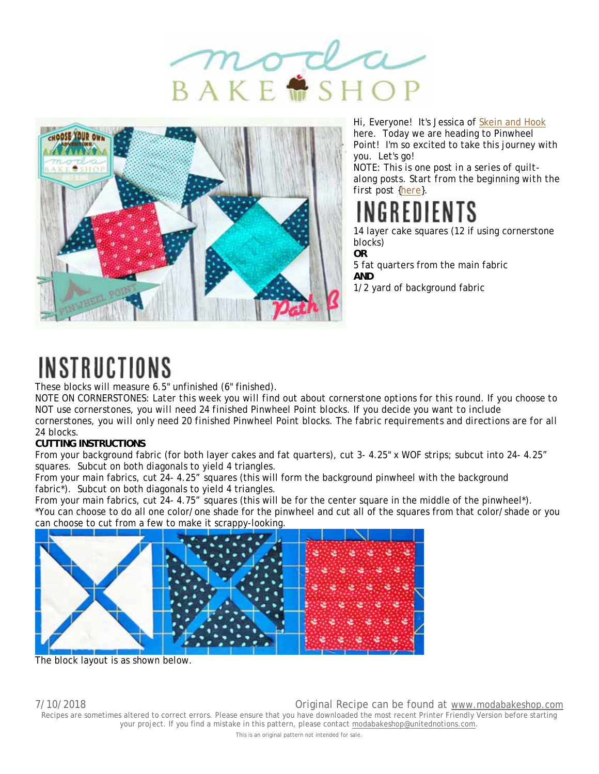



Hi, Everyone! It's Jessica of Skein and Hook here. Today we are heading to Pinwheel Point! I'm so excited to take this journey with you. Let's go!

*NOTE: This is one post in a series of quiltalong posts. Start from the beginning with the first post {here}.*

# INGREDIENTS

14 layer cake squares (12 if using cornerstone blocks) **OR**

5 fat quarters from the main fabric **AND** 1/2 yard of background fabric

## INSTRUCTIONS

These blocks will measure 6.5" unfinished (6" finished).

*NOTE ON CORNERSTONES: Later this week you will find out about cornerstone options for this round. If you choose to NOT use cornerstones, you will need 24 finished Pinwheel Point blocks. If you decide you want to include cornerstones, you will only need 20 finished Pinwheel Point blocks. The fabric requirements and directions are for all 24 blocks.*

## **CUTTING INSTRUCTIONS**

From your background fabric (for both layer cakes and fat quarters), cut 3- 4.25" x WOF strips; subcut into 24- 4.25" squares. Subcut on both diagonals to yield 4 triangles.

From your main fabrics, cut 24- 4.25" squares (this will form the background pinwheel with the background fabric\*). Subcut on both diagonals to yield 4 triangles.

From your main fabrics, cut 24- 4.75" squares (this will be for the center square in the middle of the pinwheel\*). \*You can choose to do all one color/one shade for the pinwheel and cut all of the squares from that color/shade or you can choose to cut from a few to make it scrappy-looking.



The block layout is as shown below.

7/10/2018 Original Recipe can be found at www.modabakeshop.com

Recipes are sometimes altered to correct errors. Please ensure that you have downloaded the most recent Printer Friendly Version before starting your project. If you find a mistake in this pattern, please contact modabakeshop@unitednotions.com.